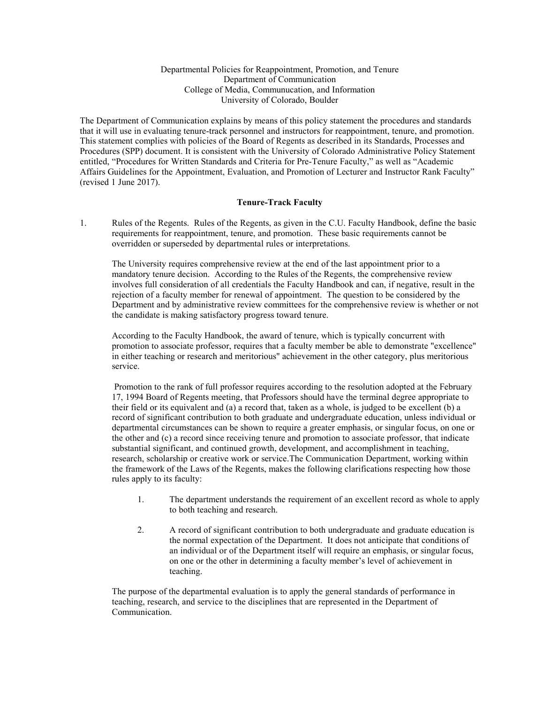## Departmental Policies for Reappointment, Promotion, and Tenure Department of Communication College of Media, Communucation, and Information University of Colorado, Boulder

The Department of Communication explains by means of this policy statement the procedures and standards that it will use in evaluating tenure-track personnel and instructors for reappointment, tenure, and promotion. This statement complies with policies of the Board of Regents as described in its Standards, Processes and Procedures (SPP) document. It is consistent with the University of Colorado Administrative Policy Statement entitled, "Procedures for Written Standards and Criteria for Pre-Tenure Faculty," as well as "Academic Affairs Guidelines for the Appointment, Evaluation, and Promotion of Lecturer and Instructor Rank Faculty" (revised 1 June 2017).

## **Tenure-Track Faculty**

1. Rules of the Regents. Rules of the Regents, as given in the C.U. Faculty Handbook, define the basic requirements for reappointment, tenure, and promotion. These basic requirements cannot be overridden or superseded by departmental rules or interpretations.

The University requires comprehensive review at the end of the last appointment prior to a mandatory tenure decision. According to the Rules of the Regents, the comprehensive review involves full consideration of all credentials the Faculty Handbook and can, if negative, result in the rejection of a faculty member for renewal of appointment. The question to be considered by the Department and by administrative review committees for the comprehensive review is whether or not the candidate is making satisfactory progress toward tenure.

According to the Faculty Handbook, the award of tenure, which is typically concurrent with promotion to associate professor, requires that a faculty member be able to demonstrate "excellence" in either teaching or research and meritorious" achievement in the other category, plus meritorious service.

Promotion to the rank of full professor requires according to the resolution adopted at the February 17, 1994 Board of Regents meeting, that Professors should have the terminal degree appropriate to their field or its equivalent and (a) a record that, taken as a whole, is judged to be excellent (b) a record of significant contribution to both graduate and undergraduate education, unless individual or departmental circumstances can be shown to require a greater emphasis, or singular focus, on one or the other and (c) a record since receiving tenure and promotion to associate professor, that indicate substantial significant, and continued growth, development, and accomplishment in teaching, research, scholarship or creative work or service.The Communication Department, working within the framework of the Laws of the Regents, makes the following clarifications respecting how those rules apply to its faculty:

- 1. The department understands the requirement of an excellent record as whole to apply to both teaching and research.
- 2. A record of significant contribution to both undergraduate and graduate education is the normal expectation of the Department. It does not anticipate that conditions of an individual or of the Department itself will require an emphasis, or singular focus, on one or the other in determining a faculty member's level of achievement in teaching.

The purpose of the departmental evaluation is to apply the general standards of performance in teaching, research, and service to the disciplines that are represented in the Department of Communication.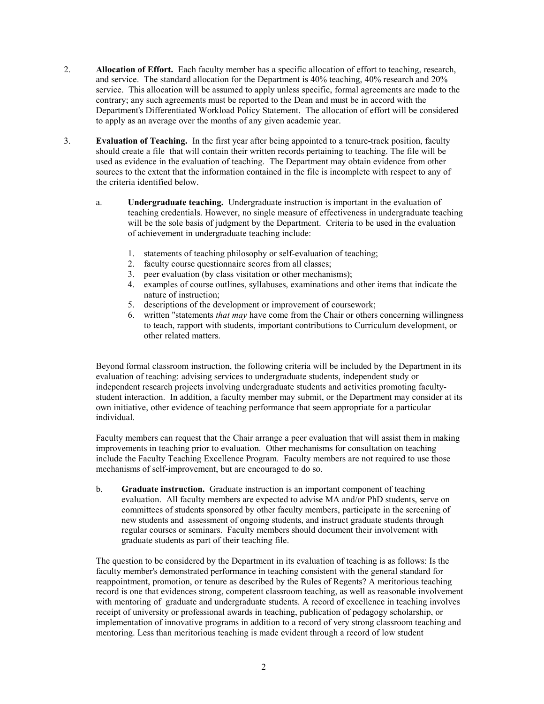- 2. **Allocation of Effort.** Each faculty member has a specific allocation of effort to teaching, research, and service. The standard allocation for the Department is 40% teaching, 40% research and 20% service. This allocation will be assumed to apply unless specific, formal agreements are made to the contrary; any such agreements must be reported to the Dean and must be in accord with the Department's Differentiated Workload Policy Statement. The allocation of effort will be considered to apply as an average over the months of any given academic year.
- 3. **Evaluation of Teaching.** In the first year after being appointed to a tenure-track position, faculty should create a file that will contain their written records pertaining to teaching. The file will be used as evidence in the evaluation of teaching. The Department may obtain evidence from other sources to the extent that the information contained in the file is incomplete with respect to any of the criteria identified below.
	- a. **Undergraduate teaching.** Undergraduate instruction is important in the evaluation of teaching credentials. However, no single measure of effectiveness in undergraduate teaching will be the sole basis of judgment by the Department. Criteria to be used in the evaluation of achievement in undergraduate teaching include:
		- 1. statements of teaching philosophy or self-evaluation of teaching;
		- 2. faculty course questionnaire scores from all classes;
		- 3. peer evaluation (by class visitation or other mechanisms);
		- 4. examples of course outlines, syllabuses, examinations and other items that indicate the nature of instruction;
		- 5. descriptions of the development or improvement of coursework;
		- 6. written "statements *that may* have come from the Chair or others concerning willingness to teach, rapport with students, important contributions to Curriculum development, or other related matters.

Beyond formal classroom instruction, the following criteria will be included by the Department in its evaluation of teaching: advising services to undergraduate students, independent study or independent research projects involving undergraduate students and activities promoting facultystudent interaction. In addition, a faculty member may submit, or the Department may consider at its own initiative, other evidence of teaching performance that seem appropriate for a particular individual.

Faculty members can request that the Chair arrange a peer evaluation that will assist them in making improvements in teaching prior to evaluation. Other mechanisms for consultation on teaching include the Faculty Teaching Excellence Program.Faculty members are not required to use those mechanisms of self-improvement, but are encouraged to do so.

b. **Graduate instruction.** Graduate instruction is an important component of teaching evaluation. All faculty members are expected to advise MA and/or PhD students, serve on committees of students sponsored by other faculty members, participate in the screening of new students and assessment of ongoing students, and instruct graduate students through regular courses or seminars. Faculty members should document their involvement with graduate students as part of their teaching file.

The question to be considered by the Department in its evaluation of teaching is as follows: Is the faculty member's demonstrated performance in teaching consistent with the general standard for reappointment, promotion, or tenure as described by the Rules of Regents? A meritorious teaching record is one that evidences strong, competent classroom teaching, as well as reasonable involvement with mentoring of graduate and undergraduate students. A record of excellence in teaching involves receipt of university or professional awards in teaching, publication of pedagogy scholarship, or implementation of innovative programs in addition to a record of very strong classroom teaching and mentoring. Less than meritorious teaching is made evident through a record of low student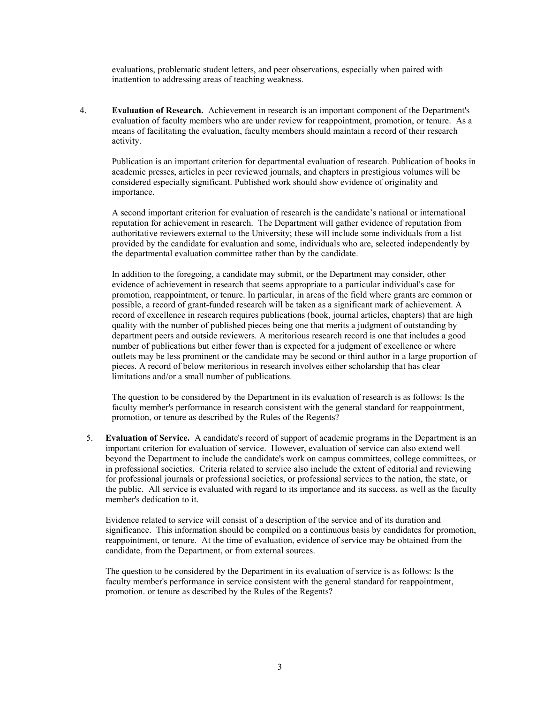evaluations, problematic student letters, and peer observations, especially when paired with inattention to addressing areas of teaching weakness.

4. **Evaluation of Research.** Achievement in research is an important component of the Department's evaluation of faculty members who are under review for reappointment, promotion, or tenure. As a means of facilitating the evaluation, faculty members should maintain a record of their research activity.

Publication is an important criterion for departmental evaluation of research. Publication of books in academic presses, articles in peer reviewed journals, and chapters in prestigious volumes will be considered especially significant. Published work should show evidence of originality and importance.

A second important criterion for evaluation of research is the candidate's national or international reputation for achievement in research. The Department will gather evidence of reputation from authoritative reviewers external to the University; these will include some individuals from a list provided by the candidate for evaluation and some, individuals who are, selected independently by the departmental evaluation committee rather than by the candidate.

In addition to the foregoing, a candidate may submit, or the Department may consider, other evidence of achievement in research that seems appropriate to a particular individual's case for promotion, reappointment, or tenure. In particular, in areas of the field where grants are common or possible, a record of grant-funded research will be taken as a significant mark of achievement. A record of excellence in research requires publications (book, journal articles, chapters) that are high quality with the number of published pieces being one that merits a judgment of outstanding by department peers and outside reviewers. A meritorious research record is one that includes a good number of publications but either fewer than is expected for a judgment of excellence or where outlets may be less prominent or the candidate may be second or third author in a large proportion of pieces. A record of below meritorious in research involves either scholarship that has clear limitations and/or a small number of publications.

The question to be considered by the Department in its evaluation of research is as follows: Is the faculty member's performance in research consistent with the general standard for reappointment, promotion, or tenure as described by the Rules of the Regents?

5. **Evaluation of Service.** A candidate's record of support of academic programs in the Department is an important criterion for evaluation of service. However, evaluation of service can also extend well beyond the Department to include the candidate's work on campus committees, college committees, or in professional societies. Criteria related to service also include the extent of editorial and reviewing for professional journals or professional societies, or professional services to the nation, the state, or the public. All service is evaluated with regard to its importance and its success, as well as the faculty member's dedication to it.

Evidence related to service will consist of a description of the service and of its duration and significance. This information should be compiled on a continuous basis by candidates for promotion, reappointment, or tenure. At the time of evaluation, evidence of service may be obtained from the candidate, from the Department, or from external sources.

The question to be considered by the Department in its evaluation of service is as follows: Is the faculty member's performance in service consistent with the general standard for reappointment, promotion. or tenure as described by the Rules of the Regents?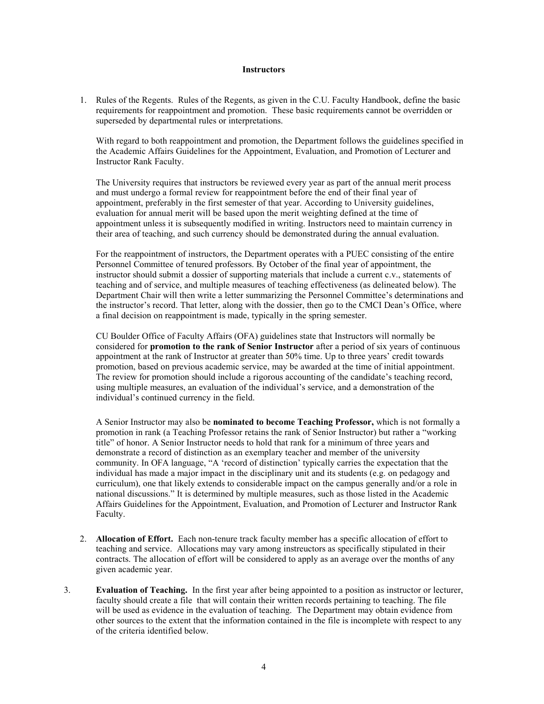## **Instructors**

1. Rules of the Regents. Rules of the Regents, as given in the C.U. Faculty Handbook, define the basic requirements for reappointment and promotion. These basic requirements cannot be overridden or superseded by departmental rules or interpretations.

With regard to both reappointment and promotion, the Department follows the guidelines specified in the Academic Affairs Guidelines for the Appointment, Evaluation, and Promotion of Lecturer and Instructor Rank Faculty.

The University requires that instructors be reviewed every year as part of the annual merit process and must undergo a formal review for reappointment before the end of their final year of appointment, preferably in the first semester of that year. According to University guidelines, evaluation for annual merit will be based upon the merit weighting defined at the time of appointment unless it is subsequently modified in writing. Instructors need to maintain currency in their area of teaching, and such currency should be demonstrated during the annual evaluation.

For the reappointment of instructors, the Department operates with a PUEC consisting of the entire Personnel Committee of tenured professors. By October of the final year of appointment, the instructor should submit a dossier of supporting materials that include a current c.v., statements of teaching and of service, and multiple measures of teaching effectiveness (as delineated below). The Department Chair will then write a letter summarizing the Personnel Committee's determinations and the instructor's record. That letter, along with the dossier, then go to the CMCI Dean's Office, where a final decision on reappointment is made, typically in the spring semester.

CU Boulder Office of Faculty Affairs (OFA) guidelines state that Instructors will normally be considered for **promotion to the rank of Senior Instructor** after a period of six years of continuous appointment at the rank of Instructor at greater than 50% time. Up to three years' credit towards promotion, based on previous academic service, may be awarded at the time of initial appointment. The review for promotion should include a rigorous accounting of the candidate's teaching record, using multiple measures, an evaluation of the individual's service, and a demonstration of the individual's continued currency in the field.

A Senior Instructor may also be **nominated to become Teaching Professor,** which is not formally a promotion in rank (a Teaching Professor retains the rank of Senior Instructor) but rather a "working title" of honor. A Senior Instructor needs to hold that rank for a minimum of three years and demonstrate a record of distinction as an exemplary teacher and member of the university community. In OFA language, "A 'record of distinction' typically carries the expectation that the individual has made a major impact in the disciplinary unit and its students (e.g. on pedagogy and curriculum), one that likely extends to considerable impact on the campus generally and/or a role in national discussions." It is determined by multiple measures, such as those listed in the Academic Affairs Guidelines for the Appointment, Evaluation, and Promotion of Lecturer and Instructor Rank Faculty.

- 2. **Allocation of Effort.** Each non-tenure track faculty member has a specific allocation of effort to teaching and service. Allocations may vary among instreuctors as specifically stipulated in their contracts. The allocation of effort will be considered to apply as an average over the months of any given academic year.
- 3. **Evaluation of Teaching.** In the first year after being appointed to a position as instructor or lecturer, faculty should create a file that will contain their written records pertaining to teaching. The file will be used as evidence in the evaluation of teaching. The Department may obtain evidence from other sources to the extent that the information contained in the file is incomplete with respect to any of the criteria identified below.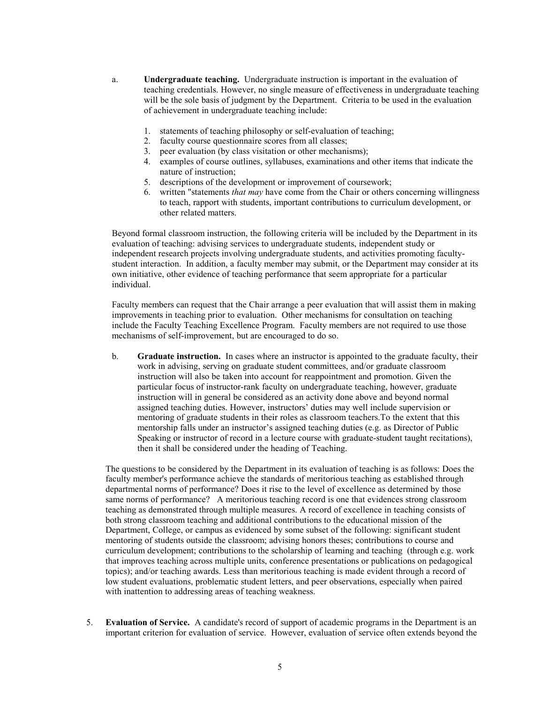- a. **Undergraduate teaching.** Undergraduate instruction is important in the evaluation of teaching credentials. However, no single measure of effectiveness in undergraduate teaching will be the sole basis of judgment by the Department. Criteria to be used in the evaluation of achievement in undergraduate teaching include:
	- 1. statements of teaching philosophy or self-evaluation of teaching;
	- 2. faculty course questionnaire scores from all classes;
	- 3. peer evaluation (by class visitation or other mechanisms);
	- 4. examples of course outlines, syllabuses, examinations and other items that indicate the nature of instruction;
	- 5. descriptions of the development or improvement of coursework;
	- 6. written "statements *that may* have come from the Chair or others concerning willingness to teach, rapport with students, important contributions to curriculum development, or other related matters.

Beyond formal classroom instruction, the following criteria will be included by the Department in its evaluation of teaching: advising services to undergraduate students, independent study or independent research projects involving undergraduate students, and activities promoting facultystudent interaction. In addition, a faculty member may submit, or the Department may consider at its own initiative, other evidence of teaching performance that seem appropriate for a particular individual.

Faculty members can request that the Chair arrange a peer evaluation that will assist them in making improvements in teaching prior to evaluation. Other mechanisms for consultation on teaching include the Faculty Teaching Excellence Program.Faculty members are not required to use those mechanisms of self-improvement, but are encouraged to do so.

b. **Graduate instruction.** In cases where an instructor is appointed to the graduate faculty, their work in advising, serving on graduate student committees, and/or graduate classroom instruction will also be taken into account for reappointment and promotion. Given the particular focus of instructor-rank faculty on undergraduate teaching, however, graduate instruction will in general be considered as an activity done above and beyond normal assigned teaching duties. However, instructors' duties may well include supervision or mentoring of graduate students in their roles as classroom teachers.To the extent that this mentorship falls under an instructor's assigned teaching duties (e.g. as Director of Public Speaking or instructor of record in a lecture course with graduate-student taught recitations), then it shall be considered under the heading of Teaching.

The questions to be considered by the Department in its evaluation of teaching is as follows: Does the faculty member's performance achieve the standards of meritorious teaching as established through departmental norms of performance? Does it rise to the level of excellence as determined by those same norms of performance? A meritorious teaching record is one that evidences strong classroom teaching as demonstrated through multiple measures. A record of excellence in teaching consists of both strong classroom teaching and additional contributions to the educational mission of the Department, College, or campus as evidenced by some subset of the following: significant student mentoring of students outside the classroom; advising honors theses; contributions to course and curriculum development; contributions to the scholarship of learning and teaching (through e.g. work that improves teaching across multiple units, conference presentations or publications on pedagogical topics); and/or teaching awards. Less than meritorious teaching is made evident through a record of low student evaluations, problematic student letters, and peer observations, especially when paired with inattention to addressing areas of teaching weakness.

5. **Evaluation of Service.** A candidate's record of support of academic programs in the Department is an important criterion for evaluation of service. However, evaluation of service often extends beyond the